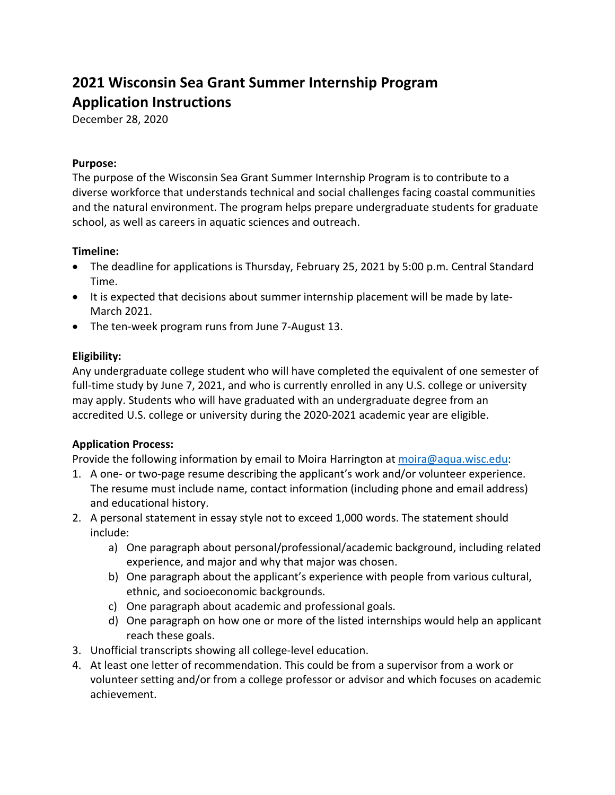# **2021 Wisconsin Sea Grant Summer Internship Program Application Instructions**

December 28, 2020

## **Purpose:**

The purpose of the Wisconsin Sea Grant Summer Internship Program is to contribute to a diverse workforce that understands technical and social challenges facing coastal communities and the natural environment. The program helps prepare undergraduate students for graduate school, as well as careers in aquatic sciences and outreach.

### **Timeline:**

- The deadline for applications is Thursday, February 25, 2021 by 5:00 p.m. Central Standard Time.
- It is expected that decisions about summer internship placement will be made by late-March 2021.
- The ten-week program runs from June 7-August 13.

# **Eligibility:**

Any undergraduate college student who will have completed the equivalent of one semester of full-time study by June 7, 2021, and who is currently enrolled in any U.S. college or university may apply. Students who will have graduated with an undergraduate degree from an accredited U.S. college or university during the 2020-2021 academic year are eligible.

# **Application Process:**

Provide the following information by email to Moira Harrington at [moira@aqua.wisc.edu:](mailto:moira@aqua.wisc.edu)

- 1. A one- or two-page resume describing the applicant's work and/or volunteer experience. The resume must include name, contact information (including phone and email address) and educational history.
- 2. A personal statement in essay style not to exceed 1,000 words. The statement should include:
	- a) One paragraph about personal/professional/academic background, including related experience, and major and why that major was chosen.
	- b) One paragraph about the applicant's experience with people from various cultural, ethnic, and socioeconomic backgrounds.
	- c) One paragraph about academic and professional goals.
	- d) One paragraph on how one or more of the listed internships would help an applicant reach these goals.
- 3. Unofficial transcripts showing all college-level education.
- 4. At least one letter of recommendation. This could be from a supervisor from a work or volunteer setting and/or from a college professor or advisor and which focuses on academic achievement.